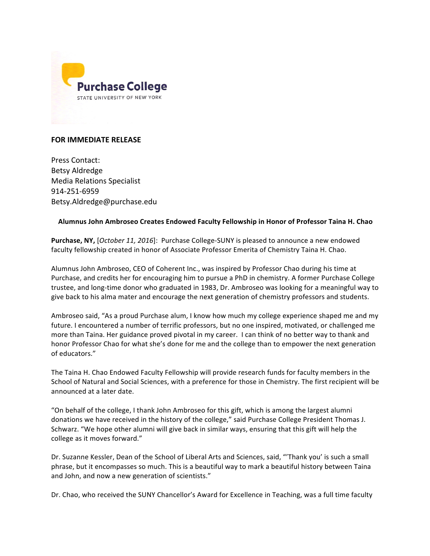

## **FOR IMMEDIATE RELEASE**

Press Contact: Betsy Aldredge Media Relations Specialist 914-251-6959 Betsy.Aldredge@purchase.edu

## **Alumnus John Ambroseo Creates Endowed Faculty Fellowship in Honor of Professor Taina H. Chao**

**Purchase, NY,** [October 11, 2016]: Purchase College-SUNY is pleased to announce a new endowed faculty fellowship created in honor of Associate Professor Emerita of Chemistry Taina H. Chao.

Alumnus John Ambroseo, CEO of Coherent Inc., was inspired by Professor Chao during his time at Purchase, and credits her for encouraging him to pursue a PhD in chemistry. A former Purchase College trustee, and long-time donor who graduated in 1983, Dr. Ambroseo was looking for a meaningful way to give back to his alma mater and encourage the next generation of chemistry professors and students.

Ambroseo said, "As a proud Purchase alum, I know how much my college experience shaped me and my future. I encountered a number of terrific professors, but no one inspired, motivated, or challenged me more than Taina. Her guidance proved pivotal in my career. I can think of no better way to thank and honor Professor Chao for what she's done for me and the college than to empower the next generation of educators."

The Taina H. Chao Endowed Faculty Fellowship will provide research funds for faculty members in the School of Natural and Social Sciences, with a preference for those in Chemistry. The first recipient will be announced at a later date.

"On behalf of the college, I thank John Ambroseo for this gift, which is among the largest alumni donations we have received in the history of the college," said Purchase College President Thomas J. Schwarz. "We hope other alumni will give back in similar ways, ensuring that this gift will help the college as it moves forward."

Dr. Suzanne Kessler, Dean of the School of Liberal Arts and Sciences, said, "Thank you' is such a small phrase, but it encompasses so much. This is a beautiful way to mark a beautiful history between Taina and John, and now a new generation of scientists."

Dr. Chao, who received the SUNY Chancellor's Award for Excellence in Teaching, was a full time faculty